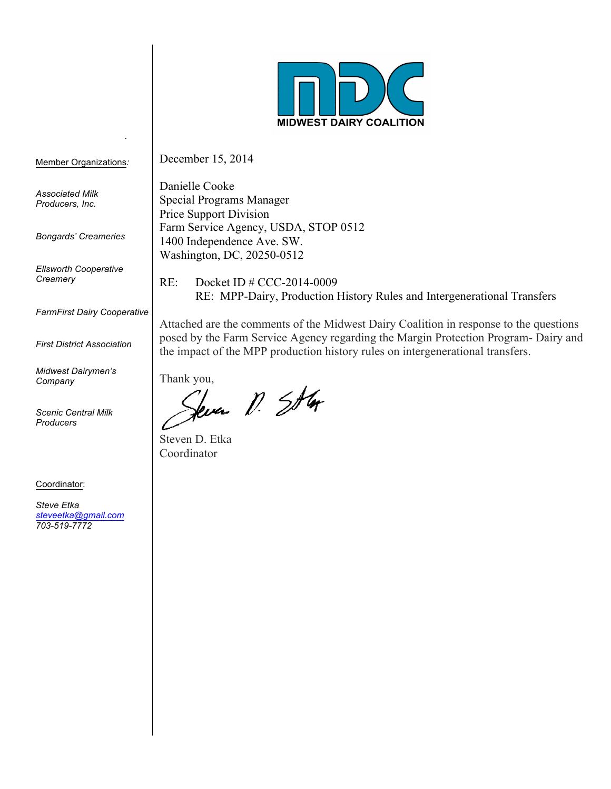

Member Organizations*:* December 15, 2014

.

*Associated Milk Producers, Inc.*

*Bongards' Creameries*

*Ellsworth Cooperative Creamery*

*FarmFirst Dairy Cooperative*

*First District Association*

*Midwest Dairymen's Company*

*Scenic Central Milk Producers* 

Coordinator:

*Steve Etka steveetka@gmail.com 703-519-7772*

Danielle Cooke Special Programs Manager Price Support Division Farm Service Agency, USDA, STOP 0512 1400 Independence Ave. SW. Washington, DC, 20250-0512

RE: Docket ID # CCC-2014-0009 RE: MPP-Dairy, Production History Rules and Intergenerational Transfers

Attached are the comments of the Midwest Dairy Coalition in response to the questions posed by the Farm Service Agency regarding the Margin Protection Program- Dairy and the impact of the MPP production history rules on intergenerational transfers.

Thank you,<br>Seven  $\beta$ . Stlar

Steven D. Etka Coordinator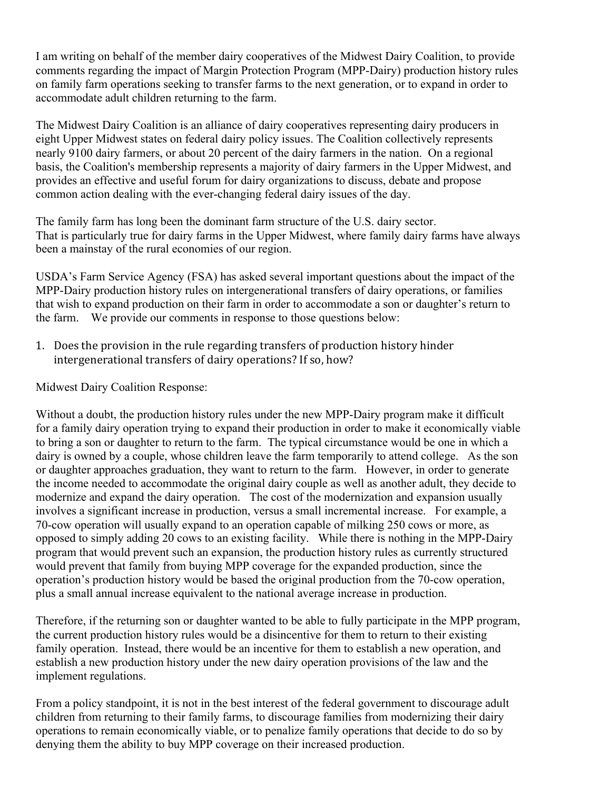I am writing on behalf of the member dairy cooperatives of the Midwest Dairy Coalition, to provide comments regarding the impact of Margin Protection Program (MPP-Dairy) production history rules on family farm operations seeking to transfer farms to the next generation, or to expand in order to accommodate adult children returning to the farm.

The Midwest Dairy Coalition is an alliance of dairy cooperatives representing dairy producers in eight Upper Midwest states on federal dairy policy issues. The Coalition collectively represents nearly 9100 dairy farmers, or about 20 percent of the dairy farmers in the nation. On a regional basis, the Coalition's membership represents a majority of dairy farmers in the Upper Midwest, and provides an effective and useful forum for dairy organizations to discuss, debate and propose common action dealing with the ever-changing federal dairy issues of the day.

The family farm has long been the dominant farm structure of the U.S. dairy sector. That is particularly true for dairy farms in the Upper Midwest, where family dairy farms have always been a mainstay of the rural economies of our region.

USDA's Farm Service Agency (FSA) has asked several important questions about the impact of the MPP-Dairy production history rules on intergenerational transfers of dairy operations, or families that wish to expand production on their farm in order to accommodate a son or daughter's return to the farm. We provide our comments in response to those questions below:

1. Does the provision in the rule regarding transfers of production history hinder intergenerational transfers of dairy operations? If so, how?

Midwest Dairy Coalition Response:

Without a doubt, the production history rules under the new MPP-Dairy program make it difficult for a family dairy operation trying to expand their production in order to make it economically viable to bring a son or daughter to return to the farm. The typical circumstance would be one in which a dairy is owned by a couple, whose children leave the farm temporarily to attend college. As the son or daughter approaches graduation, they want to return to the farm. However, in order to generate the income needed to accommodate the original dairy couple as well as another adult, they decide to modernize and expand the dairy operation. The cost of the modernization and expansion usually involves a significant increase in production, versus a small incremental increase. For example, a 70-cow operation will usually expand to an operation capable of milking 250 cows or more, as opposed to simply adding 20 cows to an existing facility. While there is nothing in the MPP-Dairy program that would prevent such an expansion, the production history rules as currently structured would prevent that family from buying MPP coverage for the expanded production, since the operation's production history would be based the original production from the 70-cow operation, plus a small annual increase equivalent to the national average increase in production.

Therefore, if the returning son or daughter wanted to be able to fully participate in the MPP program, the current production history rules would be a disincentive for them to return to their existing family operation. Instead, there would be an incentive for them to establish a new operation, and establish a new production history under the new dairy operation provisions of the law and the implement regulations.

From a policy standpoint, it is not in the best interest of the federal government to discourage adult children from returning to their family farms, to discourage families from modernizing their dairy operations to remain economically viable, or to penalize family operations that decide to do so by denying them the ability to buy MPP coverage on their increased production.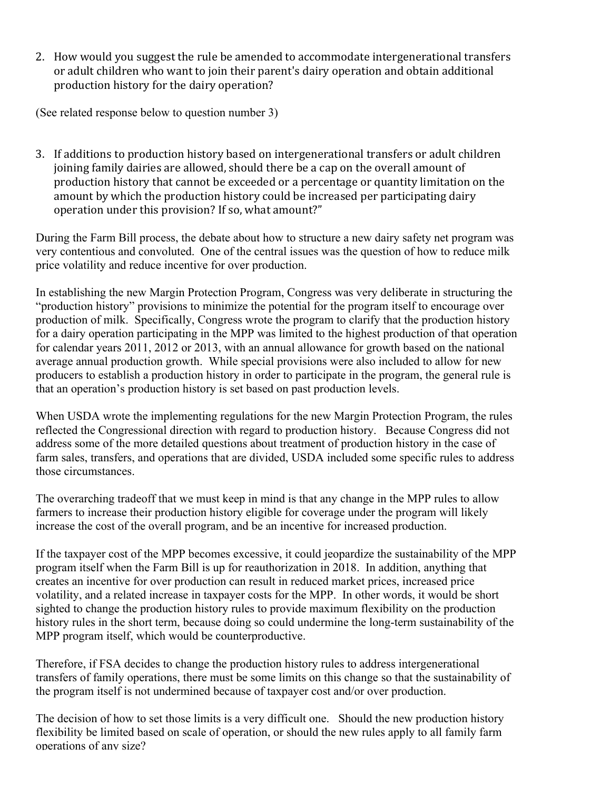2. How would you suggest the rule be amended to accommodate intergenerational transfers or adult children who want to join their parent's dairy operation and obtain additional production history for the dairy operation?

(See related response below to question number 3)

3. If additions to production history based on intergenerational transfers or adult children joining family dairies are allowed, should there be a cap on the overall amount of production history that cannot be exceeded or a percentage or quantity limitation on the amount by which the production history could be increased per participating dairy operation under this provision? If so, what amount?"

During the Farm Bill process, the debate about how to structure a new dairy safety net program was very contentious and convoluted. One of the central issues was the question of how to reduce milk price volatility and reduce incentive for over production.

In establishing the new Margin Protection Program, Congress was very deliberate in structuring the "production history" provisions to minimize the potential for the program itself to encourage over production of milk. Specifically, Congress wrote the program to clarify that the production history for a dairy operation participating in the MPP was limited to the highest production of that operation for calendar years 2011, 2012 or 2013, with an annual allowance for growth based on the national average annual production growth. While special provisions were also included to allow for new producers to establish a production history in order to participate in the program, the general rule is that an operation's production history is set based on past production levels.

When USDA wrote the implementing regulations for the new Margin Protection Program, the rules reflected the Congressional direction with regard to production history. Because Congress did not address some of the more detailed questions about treatment of production history in the case of farm sales, transfers, and operations that are divided, USDA included some specific rules to address those circumstances.

The overarching tradeoff that we must keep in mind is that any change in the MPP rules to allow farmers to increase their production history eligible for coverage under the program will likely increase the cost of the overall program, and be an incentive for increased production.

If the taxpayer cost of the MPP becomes excessive, it could jeopardize the sustainability of the MPP program itself when the Farm Bill is up for reauthorization in 2018. In addition, anything that creates an incentive for over production can result in reduced market prices, increased price volatility, and a related increase in taxpayer costs for the MPP. In other words, it would be short sighted to change the production history rules to provide maximum flexibility on the production history rules in the short term, because doing so could undermine the long-term sustainability of the MPP program itself, which would be counterproductive.

Therefore, if FSA decides to change the production history rules to address intergenerational transfers of family operations, there must be some limits on this change so that the sustainability of the program itself is not undermined because of taxpayer cost and/or over production.

The decision of how to set those limits is a very difficult one. Should the new production history flexibility be limited based on scale of operation, or should the new rules apply to all family farm operations of any size?